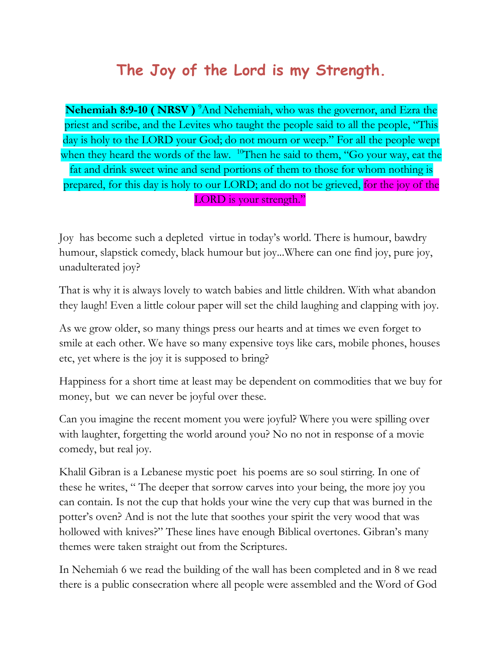## **The Joy of the Lord is my Strength.**

**Nehemiah 8:9-10 ( NRSV )** <sup>9</sup>And Nehemiah, who was the governor, and Ezra the priest and scribe, and the Levites who taught the people said to all the people, "This day is holy to the LORD your God; do not mourn or weep." For all the people wept when they heard the words of the law. <sup>10</sup>Then he said to them, "Go your way, eat the fat and drink sweet wine and send portions of them to those for whom nothing is prepared, for this day is holy to our LORD; and do not be grieved, for the joy of the LORD is your strength."

Joy has become such a depleted virtue in today's world. There is humour, bawdry humour, slapstick comedy, black humour but joy...Where can one find joy, pure joy, unadulterated joy?

That is why it is always lovely to watch babies and little children. With what abandon they laugh! Even a little colour paper will set the child laughing and clapping with joy.

As we grow older, so many things press our hearts and at times we even forget to smile at each other. We have so many expensive toys like cars, mobile phones, houses etc, yet where is the joy it is supposed to bring?

Happiness for a short time at least may be dependent on commodities that we buy for money, but we can never be joyful over these.

Can you imagine the recent moment you were joyful? Where you were spilling over with laughter, forgetting the world around you? No no not in response of a movie comedy, but real joy.

Khalil Gibran is a Lebanese mystic poet his poems are so soul stirring. In one of these he writes, " The deeper that sorrow carves into your being, the more joy you can contain. Is not the cup that holds your wine the very cup that was burned in the potter's oven? And is not the lute that soothes your spirit the very wood that was hollowed with knives?" These lines have enough Biblical overtones. Gibran's many themes were taken straight out from the Scriptures.

In Nehemiah 6 we read the building of the wall has been completed and in 8 we read there is a public consecration where all people were assembled and the Word of God